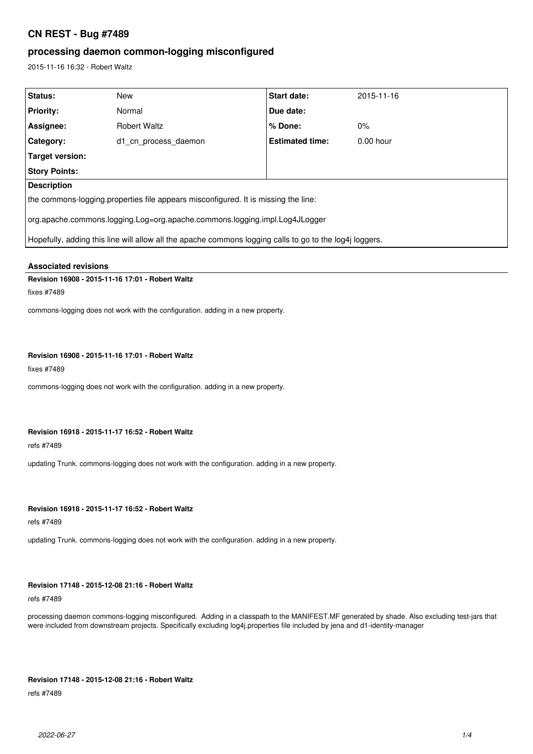# **CN REST - Bug #7489**

# **processing daemon common-logging misconfigured**

2015-11-16 16:32 - Robert Waltz

| Status:                                                                                                 | New                  | <b>Start date:</b>     | 2015-11-16  |
|---------------------------------------------------------------------------------------------------------|----------------------|------------------------|-------------|
| <b>Priority:</b>                                                                                        | Normal               | Due date:              |             |
| Assignee:                                                                                               | <b>Robert Waltz</b>  | % Done:                | $0\%$       |
| <b>Category:</b>                                                                                        | d1 cn process daemon | <b>Estimated time:</b> | $0.00$ hour |
| Target version:                                                                                         |                      |                        |             |
| <b>Story Points:</b>                                                                                    |                      |                        |             |
| <b>Description</b>                                                                                      |                      |                        |             |
| the commons-logging properties file appears misconfigured. It is missing the line:                      |                      |                        |             |
| org.apache.commons.logging.Log=org.apache.commons.logging.impl.Log4JLogger                              |                      |                        |             |
| Hopefully, adding this line will allow all the apache commons logging calls to go to the log4j loggers. |                      |                        |             |
|                                                                                                         |                      |                        |             |

## **Associated revisions**

## **Revision 16908 - 2015-11-16 17:01 - Robert Waltz**

fixes #7489

commons-logging does not work with the configuration. adding in a new property.

## **Revision 16908 - 2015-11-16 17:01 - Robert Waltz**

fixes #7489

commons-logging does not work with the configuration. adding in a new property.

## **Revision 16918 - 2015-11-17 16:52 - Robert Waltz**

refs #7489

updating Trunk. commons-logging does not work with the configuration. adding in a new property.

## **Revision 16918 - 2015-11-17 16:52 - Robert Waltz**

refs #7489

updating Trunk. commons-logging does not work with the configuration. adding in a new property.

## **Revision 17148 - 2015-12-08 21:16 - Robert Waltz**

### refs #7489

processing daemon commons-logging misconfigured. Adding in a classpath to the MANIFEST.MF generated by shade. Also excluding test-jars that were included from downstream projects. Specifically excluding log4j.properties file included by jena and d1-identity-manager

#### **Revision 17148 - 2015-12-08 21:16 - Robert Waltz**

refs #7489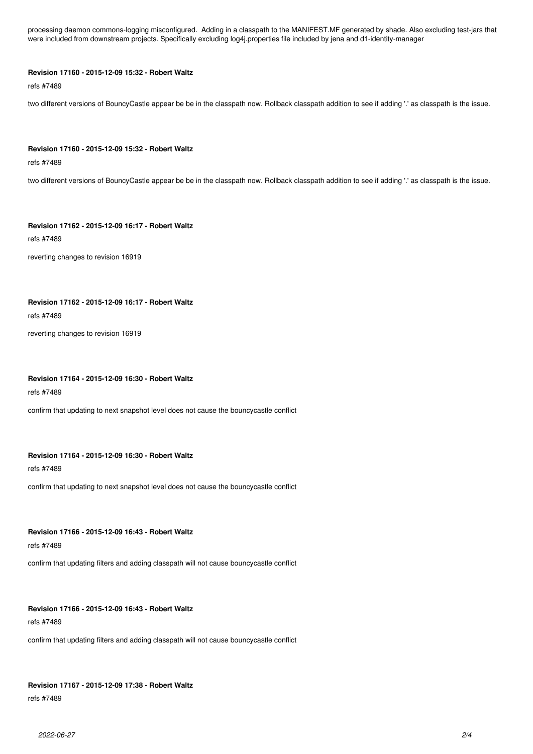processing daemon commons-logging misconfigured. Adding in a classpath to the MANIFEST.MF generated by shade. Also excluding test-jars that were included from downstream projects. Specifically excluding log4j.properties file included by jena and d1-identity-manager

### **Revision 17160 - 2015-12-09 15:32 - Robert Waltz**

refs #7489

two different versions of BouncyCastle appear be be in the classpath now. Rollback classpath addition to see if adding '.' as classpath is the issue.

#### **Revision 17160 - 2015-12-09 15:32 - Robert Waltz**

refs #7489

two different versions of BouncyCastle appear be be in the classpath now. Rollback classpath addition to see if adding '.' as classpath is the issue.

**Revision 17162 - 2015-12-09 16:17 - Robert Waltz**

refs #7489

reverting changes to revision 16919

## **Revision 17162 - 2015-12-09 16:17 - Robert Waltz**

refs #7489

reverting changes to revision 16919

### **Revision 17164 - 2015-12-09 16:30 - Robert Waltz**

refs #7489

confirm that updating to next snapshot level does not cause the bouncycastle conflict

## **Revision 17164 - 2015-12-09 16:30 - Robert Waltz**

refs #7489

confirm that updating to next snapshot level does not cause the bouncycastle conflict

## **Revision 17166 - 2015-12-09 16:43 - Robert Waltz**

refs #7489

confirm that updating filters and adding classpath will not cause bouncycastle conflict

### **Revision 17166 - 2015-12-09 16:43 - Robert Waltz**

refs #7489

confirm that updating filters and adding classpath will not cause bouncycastle conflict

## **Revision 17167 - 2015-12-09 17:38 - Robert Waltz**

refs #7489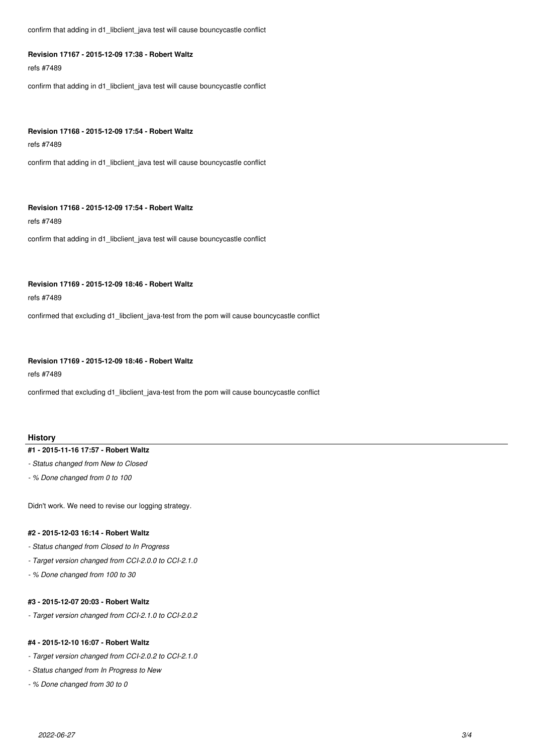confirm that adding in d1\_libclient\_java test will cause bouncycastle conflict

## **Revision 17167 - 2015-12-09 17:38 - Robert Waltz**

refs #7489

confirm that adding in d1\_libclient\_java test will cause bouncycastle conflict

#### **Revision 17168 - 2015-12-09 17:54 - Robert Waltz**

refs #7489

confirm that adding in d1\_libclient\_java test will cause bouncycastle conflict

### **Revision 17168 - 2015-12-09 17:54 - Robert Waltz**

refs #7489

confirm that adding in d1\_libclient\_java test will cause bouncycastle conflict

#### **Revision 17169 - 2015-12-09 18:46 - Robert Waltz**

refs #7489

confirmed that excluding d1\_libclient\_java-test from the pom will cause bouncycastle conflict

### **Revision 17169 - 2015-12-09 18:46 - Robert Waltz**

refs #7489

confirmed that excluding d1\_libclient\_java-test from the pom will cause bouncycastle conflict

## **History**

#### **#1 - 2015-11-16 17:57 - Robert Waltz**

- *Status changed from New to Closed*
- *% Done changed from 0 to 100*

Didn't work. We need to revise our logging strategy.

## **#2 - 2015-12-03 16:14 - Robert Waltz**

- *Status changed from Closed to In Progress*
- *Target version changed from CCI-2.0.0 to CCI-2.1.0*
- *% Done changed from 100 to 30*

## **#3 - 2015-12-07 20:03 - Robert Waltz**

*- Target version changed from CCI-2.1.0 to CCI-2.0.2*

### **#4 - 2015-12-10 16:07 - Robert Waltz**

- *Target version changed from CCI-2.0.2 to CCI-2.1.0*
- *Status changed from In Progress to New*
- *% Done changed from 30 to 0*